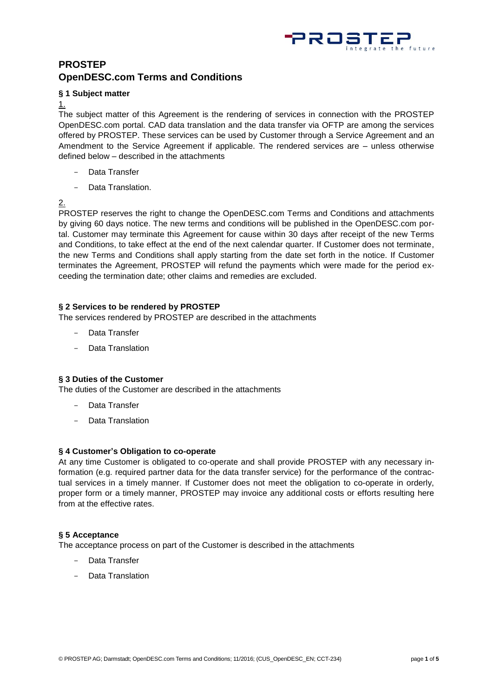

# **PROSTEP OpenDESC.com Terms and Conditions**

# **§ 1 Subject matter**

#### 1.

The subject matter of this Agreement is the rendering of services in connection with the PROSTEP OpenDESC.com portal. CAD data translation and the data transfer via OFTP are among the services offered by PROSTEP. These services can be used by Customer through a Service Agreement and an Amendment to the Service Agreement if applicable. The rendered services are – unless otherwise defined below – described in the attachments

- Data Transfer
- Data Translation.

# 2.

PROSTEP reserves the right to change the OpenDESC.com Terms and Conditions and attachments by giving 60 days notice. The new terms and conditions will be published in the OpenDESC.com portal. Customer may terminate this Agreement for cause within 30 days after receipt of the new Terms and Conditions, to take effect at the end of the next calendar quarter. If Customer does not terminate, the new Terms and Conditions shall apply starting from the date set forth in the notice. If Customer terminates the Agreement, PROSTEP will refund the payments which were made for the period exceeding the termination date; other claims and remedies are excluded.

### **§ 2 Services to be rendered by PROSTEP**

The services rendered by PROSTEP are described in the attachments

- Data Transfer
- Data Translation

# **§ 3 Duties of the Customer**

The duties of the Customer are described in the attachments

- Data Transfer
- Data Translation

#### **§ 4 Customer's Obligation to co-operate**

At any time Customer is obligated to co-operate and shall provide PROSTEP with any necessary information (e.g. required partner data for the data transfer service) for the performance of the contractual services in a timely manner. If Customer does not meet the obligation to co-operate in orderly, proper form or a timely manner, PROSTEP may invoice any additional costs or efforts resulting here from at the effective rates.

#### **§ 5 Acceptance**

The acceptance process on part of the Customer is described in the attachments

- Data Transfer
- Data Translation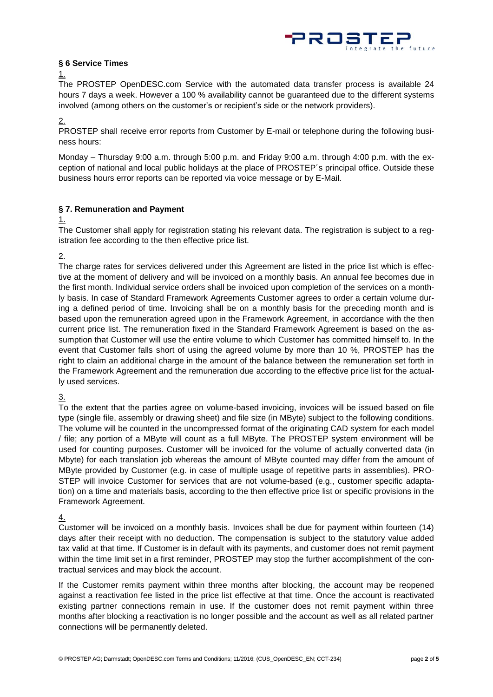

### **§ 6 Service Times**

1.

The PROSTEP OpenDESC.com Service with the automated data transfer process is available 24 hours 7 days a week. However a 100 % availability cannot be guaranteed due to the different systems involved (among others on the customer's or recipient's side or the network providers).

2.

PROSTEP shall receive error reports from Customer by E-mail or telephone during the following business hours:

Monday – Thursday 9:00 a.m. through 5:00 p.m. and Friday 9:00 a.m. through 4:00 p.m. with the exception of national and local public holidays at the place of PROSTEP´s principal office. Outside these business hours error reports can be reported via voice message or by E-Mail.

### **§ 7. Remuneration and Payment**

1.

The Customer shall apply for registration stating his relevant data. The registration is subject to a registration fee according to the then effective price list.

2.

The charge rates for services delivered under this Agreement are listed in the price list which is effective at the moment of delivery and will be invoiced on a monthly basis. An annual fee becomes due in the first month. Individual service orders shall be invoiced upon completion of the services on a monthly basis. In case of Standard Framework Agreements Customer agrees to order a certain volume during a defined period of time. Invoicing shall be on a monthly basis for the preceding month and is based upon the remuneration agreed upon in the Framework Agreement, in accordance with the then current price list. The remuneration fixed in the Standard Framework Agreement is based on the assumption that Customer will use the entire volume to which Customer has committed himself to. In the event that Customer falls short of using the agreed volume by more than 10 %, PROSTEP has the right to claim an additional charge in the amount of the balance between the remuneration set forth in the Framework Agreement and the remuneration due according to the effective price list for the actually used services.

# 3.

To the extent that the parties agree on volume-based invoicing, invoices will be issued based on file type (single file, assembly or drawing sheet) and file size (in MByte) subject to the following conditions. The volume will be counted in the uncompressed format of the originating CAD system for each model / file; any portion of a MByte will count as a full MByte. The PROSTEP system environment will be used for counting purposes. Customer will be invoiced for the volume of actually converted data (in Mbyte) for each translation job whereas the amount of MByte counted may differ from the amount of MByte provided by Customer (e.g. in case of multiple usage of repetitive parts in assemblies). PRO-STEP will invoice Customer for services that are not volume-based (e.g., customer specific adaptation) on a time and materials basis, according to the then effective price list or specific provisions in the Framework Agreement.

# 4.

Customer will be invoiced on a monthly basis. Invoices shall be due for payment within fourteen (14) days after their receipt with no deduction. The compensation is subject to the statutory value added tax valid at that time. If Customer is in default with its payments, and customer does not remit payment within the time limit set in a first reminder, PROSTEP may stop the further accomplishment of the contractual services and may block the account.

If the Customer remits payment within three months after blocking, the account may be reopened against a reactivation fee listed in the price list effective at that time. Once the account is reactivated existing partner connections remain in use. If the customer does not remit payment within three months after blocking a reactivation is no longer possible and the account as well as all related partner connections will be permanently deleted.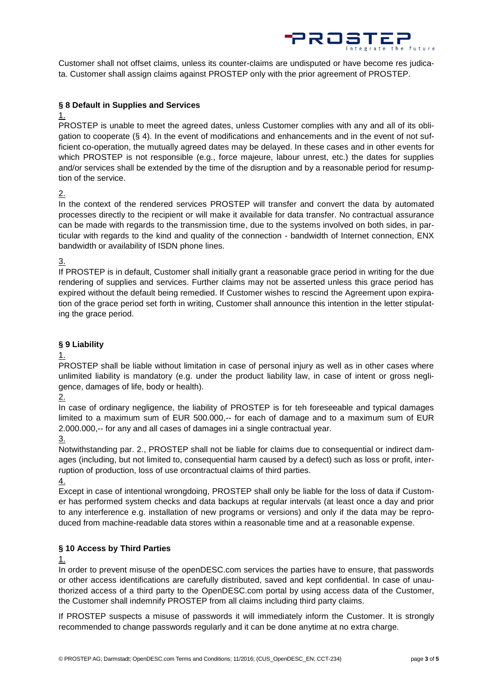

Customer shall not offset claims, unless its counter-claims are undisputed or have become res judicata. Customer shall assign claims against PROSTEP only with the prior agreement of PROSTEP.

### **§ 8 Default in Supplies and Services**

### 1.

PROSTEP is unable to meet the agreed dates, unless Customer complies with any and all of its obligation to cooperate (§ 4). In the event of modifications and enhancements and in the event of not sufficient co-operation, the mutually agreed dates may be delayed. In these cases and in other events for which PROSTEP is not responsible (e.g., force majeure, labour unrest, etc.) the dates for supplies and/or services shall be extended by the time of the disruption and by a reasonable period for resumption of the service.

# 2.

In the context of the rendered services PROSTEP will transfer and convert the data by automated processes directly to the recipient or will make it available for data transfer. No contractual assurance can be made with regards to the transmission time, due to the systems involved on both sides, in particular with regards to the kind and quality of the connection - bandwidth of Internet connection, ENX bandwidth or availability of ISDN phone lines.

# 3.

If PROSTEP is in default, Customer shall initially grant a reasonable grace period in writing for the due rendering of supplies and services. Further claims may not be asserted unless this grace period has expired without the default being remedied. If Customer wishes to rescind the Agreement upon expiration of the grace period set forth in writing, Customer shall announce this intention in the letter stipulating the grace period.

# **§ 9 Liability**

#### 1.

PROSTEP shall be liable without limitation in case of personal injury as well as in other cases where unlimited liability is mandatory (e.g. under the product liability law, in case of intent or gross negligence, damages of life, body or health).

2.

In case of ordinary negligence, the liability of PROSTEP is for teh foreseeable and typical damages limited to a maximum sum of EUR 500.000,-- for each of damage and to a maximum sum of EUR 2.000.000,-- for any and all cases of damages ini a single contractual year.

3.

Notwithstanding par. 2., PROSTEP shall not be liable for claims due to consequential or indirect damages (including, but not limited to, consequential harm caused by a defect) such as loss or profit, interruption of production, loss of use orcontractual claims of third parties.

#### 4.

Except in case of intentional wrongdoing, PROSTEP shall only be liable for the loss of data if Customer has performed system checks and data backups at regular intervals (at least once a day and prior to any interference e.g. installation of new programs or versions) and only if the data may be reproduced from machine-readable data stores within a reasonable time and at a reasonable expense.

# **§ 10 Access by Third Parties**

#### 1.

In order to prevent misuse of the openDESC.com services the parties have to ensure, that passwords or other access identifications are carefully distributed, saved and kept confidential. In case of unauthorized access of a third party to the OpenDESC.com portal by using access data of the Customer, the Customer shall indemnify PROSTEP from all claims including third party claims.

If PROSTEP suspects a misuse of passwords it will immediately inform the Customer. It is strongly recommended to change passwords regularly and it can be done anytime at no extra charge.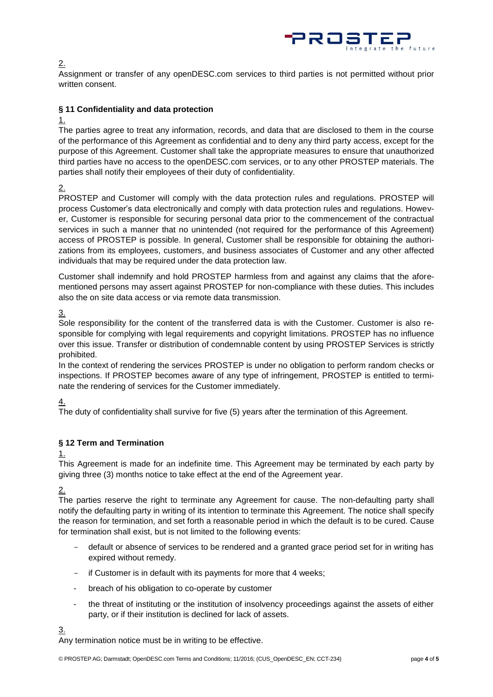

#### 2.

Assignment or transfer of any openDESC.com services to third parties is not permitted without prior written consent.

### **§ 11 Confidentiality and data protection**

#### 1.

The parties agree to treat any information, records, and data that are disclosed to them in the course of the performance of this Agreement as confidential and to deny any third party access, except for the purpose of this Agreement. Customer shall take the appropriate measures to ensure that unauthorized third parties have no access to the openDESC.com services, or to any other PROSTEP materials. The parties shall notify their employees of their duty of confidentiality.

### 2.

PROSTEP and Customer will comply with the data protection rules and regulations. PROSTEP will process Customer's data electronically and comply with data protection rules and regulations. However, Customer is responsible for securing personal data prior to the commencement of the contractual services in such a manner that no unintended (not required for the performance of this Agreement) access of PROSTEP is possible. In general, Customer shall be responsible for obtaining the authorizations from its employees, customers, and business associates of Customer and any other affected individuals that may be required under the data protection law.

Customer shall indemnify and hold PROSTEP harmless from and against any claims that the aforementioned persons may assert against PROSTEP for non-compliance with these duties. This includes also the on site data access or via remote data transmission.

### 3.

Sole responsibility for the content of the transferred data is with the Customer. Customer is also responsible for complying with legal requirements and copyright limitations. PROSTEP has no influence over this issue. Transfer or distribution of condemnable content by using PROSTEP Services is strictly prohibited.

In the context of rendering the services PROSTEP is under no obligation to perform random checks or inspections. If PROSTEP becomes aware of any type of infringement, PROSTEP is entitled to terminate the rendering of services for the Customer immediately.

# 4.

The duty of confidentiality shall survive for five (5) years after the termination of this Agreement.

# **§ 12 Term and Termination**

#### 1.

This Agreement is made for an indefinite time. This Agreement may be terminated by each party by giving three (3) months notice to take effect at the end of the Agreement year.

2.

3.

The parties reserve the right to terminate any Agreement for cause. The non-defaulting party shall notify the defaulting party in writing of its intention to terminate this Agreement. The notice shall specify the reason for termination, and set forth a reasonable period in which the default is to be cured. Cause for termination shall exist, but is not limited to the following events:

- default or absence of services to be rendered and a granted grace period set for in writing has expired without remedy.
- if Customer is in default with its payments for more that 4 weeks;
- breach of his obligation to co-operate by customer
- the threat of instituting or the institution of insolvency proceedings against the assets of either party, or if their institution is declined for lack of assets.

Any termination notice must be in writing to be effective.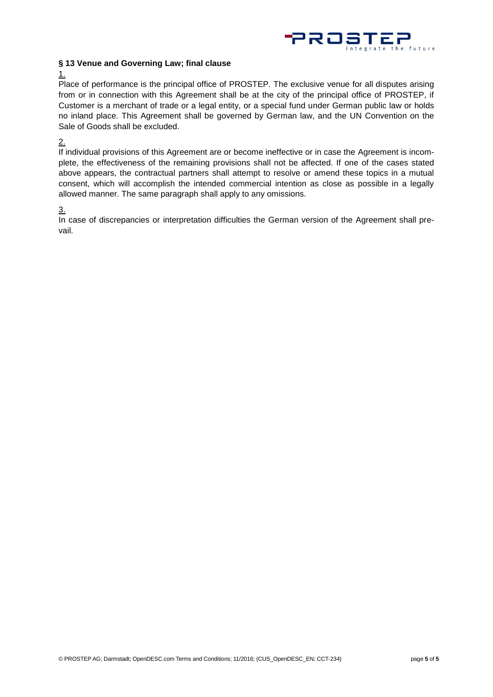

#### **§ 13 Venue and Governing Law; final clause**

1.

Place of performance is the principal office of PROSTEP. The exclusive venue for all disputes arising from or in connection with this Agreement shall be at the city of the principal office of PROSTEP, if Customer is a merchant of trade or a legal entity, or a special fund under German public law or holds no inland place. This Agreement shall be governed by German law, and the UN Convention on the Sale of Goods shall be excluded.

2.

If individual provisions of this Agreement are or become ineffective or in case the Agreement is incomplete, the effectiveness of the remaining provisions shall not be affected. If one of the cases stated above appears, the contractual partners shall attempt to resolve or amend these topics in a mutual consent, which will accomplish the intended commercial intention as close as possible in a legally allowed manner. The same paragraph shall apply to any omissions.

3.

In case of discrepancies or interpretation difficulties the German version of the Agreement shall prevail.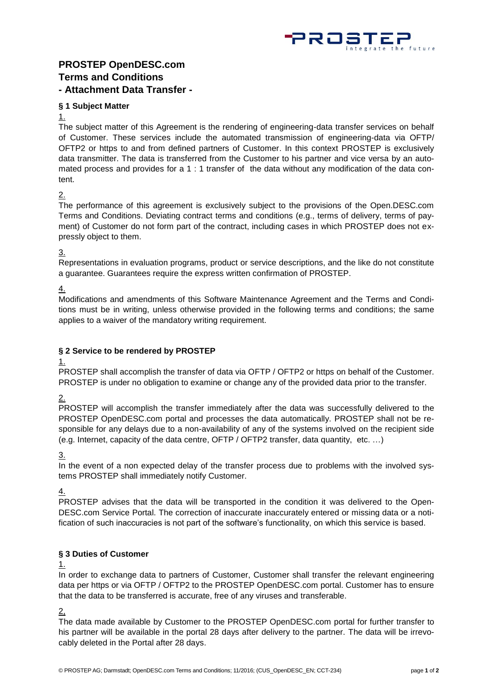

# **PROSTEP OpenDESC.com Terms and Conditions - Attachment Data Transfer -**

### **§ 1 Subject Matter**

### 1.

The subject matter of this Agreement is the rendering of engineering-data transfer services on behalf of Customer. These services include the automated transmission of engineering-data via OFTP/ OFTP2 or https to and from defined partners of Customer. In this context PROSTEP is exclusively data transmitter. The data is transferred from the Customer to his partner and vice versa by an automated process and provides for a 1 : 1 transfer of the data without any modification of the data content.

# 2.

The performance of this agreement is exclusively subject to the provisions of the Open.DESC.com Terms and Conditions. Deviating contract terms and conditions (e.g., terms of delivery, terms of payment) of Customer do not form part of the contract, including cases in which PROSTEP does not expressly object to them.

### 3.

Representations in evaluation programs, product or service descriptions, and the like do not constitute a guarantee. Guarantees require the express written confirmation of PROSTEP.

# 4.

Modifications and amendments of this Software Maintenance Agreement and the Terms and Conditions must be in writing, unless otherwise provided in the following terms and conditions; the same applies to a waiver of the mandatory writing requirement.

# **§ 2 Service to be rendered by PROSTEP**

#### 1.

PROSTEP shall accomplish the transfer of data via OFTP / OFTP2 or https on behalf of the Customer. PROSTEP is under no obligation to examine or change any of the provided data prior to the transfer.

2.

PROSTEP will accomplish the transfer immediately after the data was successfully delivered to the PROSTEP OpenDESC.com portal and processes the data automatically. PROSTEP shall not be responsible for any delays due to a non-availability of any of the systems involved on the recipient side (e.g. Internet, capacity of the data centre, OFTP / OFTP2 transfer, data quantity, etc. …)

# 3.

In the event of a non expected delay of the transfer process due to problems with the involved systems PROSTEP shall immediately notify Customer.

# 4.

PROSTEP advises that the data will be transported in the condition it was delivered to the Open-DESC.com Service Portal. The correction of inaccurate inaccurately entered or missing data or a notification of such inaccuracies is not part of the software's functionality, on which this service is based.

# **§ 3 Duties of Customer**

#### 1.

In order to exchange data to partners of Customer, Customer shall transfer the relevant engineering data per https or via OFTP / OFTP2 to the PROSTEP OpenDESC.com portal. Customer has to ensure that the data to be transferred is accurate, free of any viruses and transferable.

2,

The data made available by Customer to the PROSTEP OpenDESC.com portal for further transfer to his partner will be available in the portal 28 days after delivery to the partner. The data will be irrevocably deleted in the Portal after 28 days.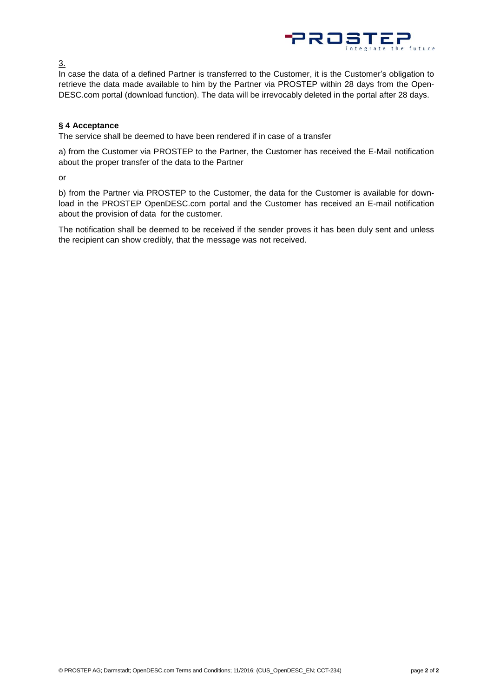

3.

In case the data of a defined Partner is transferred to the Customer, it is the Customer's obligation to retrieve the data made available to him by the Partner via PROSTEP within 28 days from the Open-DESC.com portal (download function). The data will be irrevocably deleted in the portal after 28 days.

#### **§ 4 Acceptance**

The service shall be deemed to have been rendered if in case of a transfer

a) from the Customer via PROSTEP to the Partner, the Customer has received the E-Mail notification about the proper transfer of the data to the Partner

or

b) from the Partner via PROSTEP to the Customer, the data for the Customer is available for download in the PROSTEP OpenDESC.com portal and the Customer has received an E-mail notification about the provision of data for the customer.

The notification shall be deemed to be received if the sender proves it has been duly sent and unless the recipient can show credibly, that the message was not received.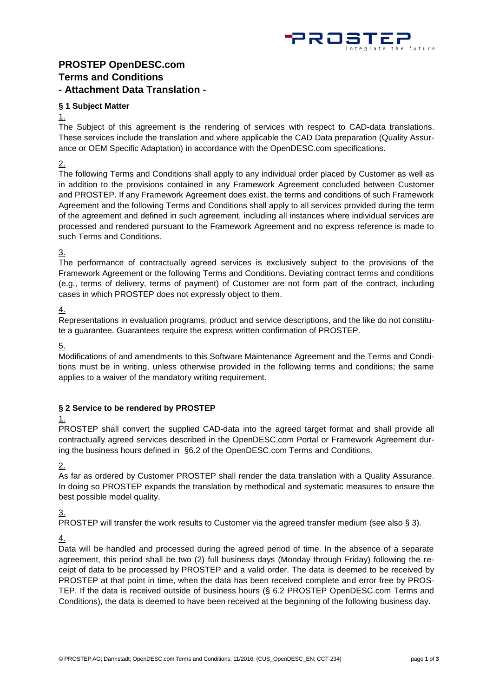

# **PROSTEP OpenDESC.com Terms and Conditions - Attachment Data Translation -**

### **§ 1 Subject Matter**

### 1.

The Subject of this agreement is the rendering of services with respect to CAD-data translations. These services include the translation and where applicable the CAD Data preparation (Quality Assurance or OEM Specific Adaptation) in accordance with the OpenDESC.com specifications.

### 2.

The following Terms and Conditions shall apply to any individual order placed by Customer as well as in addition to the provisions contained in any Framework Agreement concluded between Customer and PROSTEP. If any Framework Agreement does exist, the terms and conditions of such Framework Agreement and the following Terms and Conditions shall apply to all services provided during the term of the agreement and defined in such agreement, including all instances where individual services are processed and rendered pursuant to the Framework Agreement and no express reference is made to such Terms and Conditions.

### 3.

The performance of contractually agreed services is exclusively subject to the provisions of the Framework Agreement or the following Terms and Conditions. Deviating contract terms and conditions (e.g., terms of delivery, terms of payment) of Customer are not form part of the contract, including cases in which PROSTEP does not expressly object to them.

# 4.

Representations in evaluation programs, product and service descriptions, and the like do not constitute a guarantee. Guarantees require the express written confirmation of PROSTEP.

# 5.

Modifications of and amendments to this Software Maintenance Agreement and the Terms and Conditions must be in writing, unless otherwise provided in the following terms and conditions; the same applies to a waiver of the mandatory writing requirement.

# **§ 2 Service to be rendered by PROSTEP**

# 1.

PROSTEP shall convert the supplied CAD-data into the agreed target format and shall provide all contractually agreed services described in the OpenDESC.com Portal or Framework Agreement during the business hours defined in §6.2 of the OpenDESC.com Terms and Conditions.

# 2.

As far as ordered by Customer PROSTEP shall render the data translation with a Quality Assurance. In doing so PROSTEP expands the translation by methodical and systematic measures to ensure the best possible model quality.

# 3.

PROSTEP will transfer the work results to Customer via the agreed transfer medium (see also § 3).

# 4.

Data will be handled and processed during the agreed period of time. In the absence of a separate agreement, this period shall be two (2) full business days (Monday through Friday) following the receipt of data to be processed by PROSTEP and a valid order. The data is deemed to be received by PROSTEP at that point in time, when the data has been received complete and error free by PROS-TEP. If the data is received outside of business hours (§ 6.2 PROSTEP OpenDESC.com Terms and Conditions), the data is deemed to have been received at the beginning of the following business day.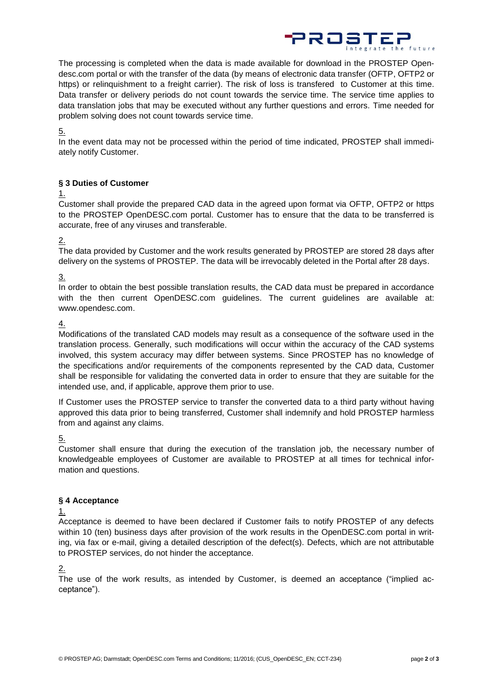

The processing is completed when the data is made available for download in the PROSTEP Opendesc.com portal or with the transfer of the data (by means of electronic data transfer (OFTP, OFTP2 or https) or relinquishment to a freight carrier). The risk of loss is transfered to Customer at this time. Data transfer or delivery periods do not count towards the service time. The service time applies to data translation jobs that may be executed without any further questions and errors. Time needed for problem solving does not count towards service time.

5.

In the event data may not be processed within the period of time indicated, PROSTEP shall immediately notify Customer.

### **§ 3 Duties of Customer**

1.

Customer shall provide the prepared CAD data in the agreed upon format via OFTP, OFTP2 or https to the PROSTEP OpenDESC.com portal. Customer has to ensure that the data to be transferred is accurate, free of any viruses and transferable.

2.

The data provided by Customer and the work results generated by PROSTEP are stored 28 days after delivery on the systems of PROSTEP. The data will be irrevocably deleted in the Portal after 28 days.

3.

In order to obtain the best possible translation results, the CAD data must be prepared in accordance with the then current OpenDESC.com guidelines. The current guidelines are available at: [www.opendesc.com.](http://www.opendesc.com/)

# 4.

Modifications of the translated CAD models may result as a consequence of the software used in the translation process. Generally, such modifications will occur within the accuracy of the CAD systems involved, this system accuracy may differ between systems. Since PROSTEP has no knowledge of the specifications and/or requirements of the components represented by the CAD data, Customer shall be responsible for validating the converted data in order to ensure that they are suitable for the intended use, and, if applicable, approve them prior to use.

If Customer uses the PROSTEP service to transfer the converted data to a third party without having approved this data prior to being transferred, Customer shall indemnify and hold PROSTEP harmless from and against any claims.

5.

Customer shall ensure that during the execution of the translation job, the necessary number of knowledgeable employees of Customer are available to PROSTEP at all times for technical information and questions.

# **§ 4 Acceptance**

#### 1.

Acceptance is deemed to have been declared if Customer fails to notify PROSTEP of any defects within 10 (ten) business days after provision of the work results in the OpenDESC.com portal in writing, via fax or e-mail, giving a detailed description of the defect(s). Defects, which are not attributable to PROSTEP services, do not hinder the acceptance.

# 2.

The use of the work results, as intended by Customer, is deemed an acceptance ("implied acceptance").